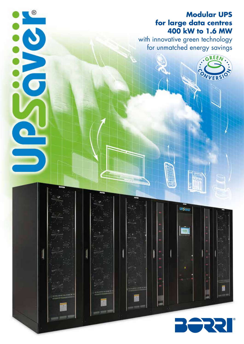## **Modular UPS for large data centres 400 kW to 1.6 MW**

.GREEN

VVERS

with innovative green technology for unmatched energy savings

**UPServer** 

202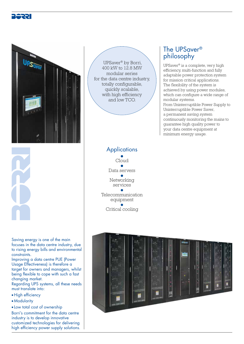



 UPSaver® by Borri, 400 kW to 12.8 MW modular series for the data centre industry, totally configurable, quickly scalable, with high efficiency and low TCO.

### The UPSaver® philosophy

UPSaver® is a complete, very high efficiency, multi-function and fully adaptable power protection system for mission critical applications. The flexibility of the system is achieved by using power modules, which can configure a wide range of modular systems. From Uninterruptible Power Supply to Uninterruptible Power Saver, a permanent saving system continuously monitoring the mains to guarantee high quality power to your data centre equipment at minimum energy usage.

Saving energy is one of the main focuses in the data centre industry, due to rising energy bills and environmental constraints.

Improving a data centre PUE (Power Usage Effectiveness) is therefore a target for owners and managers, whilst being flexible to cope with such a fast changing market.

Regarding UPS systems, all these needs must translate into:

- High efficiency
- Modularity
- Low total cost of ownership

Borri's commitment for the data centre industry is to develop innovative customized technologies for delivering high efficiency power supply solutions.

#### **Applications** ● Cloud ● Data servers ● Networking services ● Telecommunication equipment ● Critical cooling

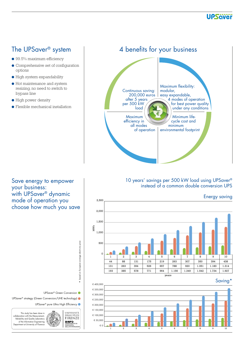

- 99.5% maximum efficiency
- Comprehensive set of configuration options
- High system expandability
- Hot maintenance and system resizing, no need to switch to bypass line
- High power density
- Flexible mechanical installation

The UPSaver<sup>®</sup> system | 4 benefits for your business



#### 10 years' savings per 500 kW load using UPSaver® instead of a common double conversion UPS



Save energy to empower your business: with UPSaver® dynamic mode of operation you choose how much you save



based on European average electricity price

based on European average electricity price

\*

UPSaver<sup>®</sup> strategy (Green Conversion/UHE technology)

UPSaver® pure Ultra High Efficiency



This study has been done in collaboration with the Measurement, Reliability and Quality Laboratory of the Information Engineering Department at University of Florence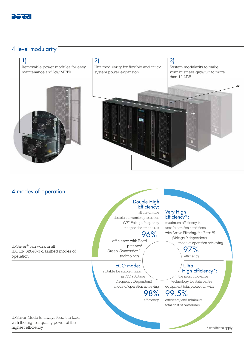

### 4 level modularity

#### 1)

Removable power modules for easy maintenance and low MTTR



## 2)

Unit modularity for flexible and quick system power expansion

3)

System modularity to make your business grow up to more than 12 MW



Very High Efficiency\*: maximum efficiency in unstable mains conditions with Active Filtering, the Borri VI (Voltage Independent)

mode of operation achieving

High Efficiency\*:

97% efficiency.

**Ultra** 

the most innovative technology for data centre equipment total protection with

### 4 modes of operation

UPSaver® can work in all IEC EN 62040-3 classified modes of operation.

#### Double High Efficiency:

all the on-line double conversion protection (VFI-Voltage frequency independent mode), at

#### 96% efficiency with Borri

patented Green Conversion® technology.

#### ECO mode:

suitable for stable mains, in VFD (Voltage Frequency Dependent) mode of operation achieving

98%

#### efficiency. 99.5% efficiency and minimum total cost of ownership.

UPSaver Mode to always feed the load with the highest quality power at the highest efficiency.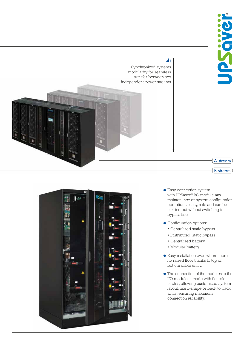

A stream

B stream

### 4)

Synchronized systems modularity for seamless transfer between two independent power streams





- Easy connection system: with UPSaver® I/O module any maintenance or system configuration operation is easy, safe and can be carried out without switching to bypass line.
- Configuration options:
	- Centralized static bypass • Distributed static bypass
	- Centralized battery
	- Modular battery.
- Easy installation even where there is no raised floor thanks to top or bottom cable entry.
- The connection of the modules to the I/O module is made with flexible cables, allowing customized system layout, like L-shape or back to back, whilst ensuring maximum connection reliability.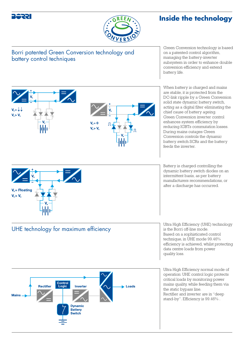

 $v - 1$  $V_{s} > V_{s}$ 



# **Inside the technology**

Borri patented Green Conversion technology and battery control techniques

Green Conversion technology is based on a patented control algorithm, managing the battery-inverter subsystem in order to enhance double conversion efficiency and extend battery life.

When battery is charged and mains are stable, it is protected from the DC-link ripple by a Green Conversion solid state dynamic battery switch, acting as a digital filter eliminating the chief cause of battery ageing. Green Conversion inverter control enhances system efficiency by reducing IGBTs commutation losses. During mains outages Green Conversion controls the dynamic battery switch SCRs and the battery feeds the inverter.

> Battery is charged controlling the dynamic battery switch diodes on an intermittent basis, as per battery manufacturers recommendations, or after a discharge has occurred.

is the Borri off-line mode. Based on a sophisticated control technique, in UHE mode 99.46% efficiency is achieved, whilst protecting data centre loads from power quality loss.

Ultra High Efficiency normal mode of operation: UHE control logic protects critical loads by monitoring power mains quality, while feeding them via the static bypass line. Rectifier and inverter are in "deep stand-by". Efficiency is 99.46% .



# UHE technology for maximum efficiency ULTRI Ultra High Efficiency (UHE) technology<br>
UHE technology for maximum efficiency

Control<br>Logic **Rectifier Inverter** Loads **Mains Dynamic Battery** Switch



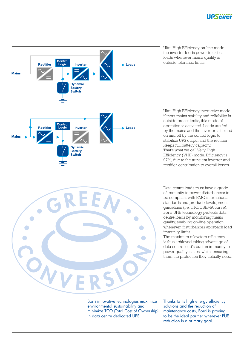



Ultra High Efficiency on-line mode: the inverter feeds power to critical loads whenever mains quality is outside tolerance limits.

Ultra High Efficiency interactive mode if input mains stability and reliability is outside preset limits, this mode of operation is activated. Loads are fed by the mains and the inverter is turned on and off by the control logic to stabilize UPS output and the rectifier keeps full battery capacity. That's what we call Very High Efficiency (VHE) mode. Efficiency is 97%, due to the transient inverter and rectifier contribution to overall losses.

Data centre loads must have a grade of immunity to power disturbances to be compliant with EMC international standards and product development guidelines (i.e. ITIC/CBEMA curve). Borri UHE technology protects data centre loads by monitoring mains quality, enabling on-line operation whenever disturbances approach load immunity limits.

The maximum of system efficiency is thus achieved taking advantage of data centre load's built-in immunity to power quality issues, whilst ensuring them the protection they actually need.

Borri innovative technologies maximize environmental sustainability and minimize TCO (Total Cost of Ownership) in data centre dedicated UPS.

Thanks to its high energy efficiency solutions and the reduction of maintenance costs, Borri is proving to be the ideal partner wherever PUE reduction is a primary goal.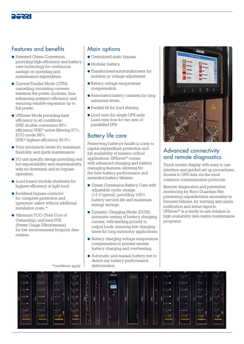

### Features and benefits

- Patented Green Conversion providing high efficiency and battery care technology for continuous savings on operating and maintenance expenditure.
- Current Parallel Mode (CPM) cancelling circulating currents between the power modules, thus enhancing system's efficiency and ensuring reliable expansion up to full power.
- UPSaver Mode providing best efficiency in all conditions: DHE double conversion 96% efficiency, VHE\* active filtering 97%, ECO mode 98%, UHE\* highest efficiency 99.5%.
- Four modularity levels for maximum flexibility and quick maintenance.
- I/O unit specific design providing real hot expandability and maintainability, with no downtime and no bypass operation.
- Load based module shutdown for highest efficiency at light load.
- Backfeed bypass contactor for complete protection and operators' safety without additional installation costs. \*
- Minimum TCO (Total Cost of Ownership) and best PUE (Power Usage Effectiveness) for low environmental footprint data centres.

### Main options

- Centralized static bypass.
- Modular battery.
- Transformers/autotransformers for isolation or voltage adjustment.
- Battery voltage temperature compensation.
- Associated battery cabinets for long autonomy times.
- Parallel kit for load sharing.
- Load-sync for single UPS units. Load-sync box for two sets of paralleled UPS.

### Battery life care

Preserving battery's health is a key to capital expenditure protection and full availability of mission critical applications. UPSaver® comes with advanced charging and battery managing features, allowing for the best battery performance and extended battery lifetime:

- Green Conversion Battery Care with adjustable cyclic charge (14-2 typical), providing 100% battery service life and maximum energy savings.
- Dynamic Charging Mode (DCM): automatic setting of battery charging current, with feeding priority to output loads, ensuring low charging times for long autonomy applications.
- Battery charging voltage temperature compensation to prevent excess battery charging and overheating.
- Automatic and manual battery test to detect any battery performance \*conditions apply deterioration.



### Advanced connectivity and remote diagnostics

Touch screen display with easy to use interface and guided set up procedures. Access to UPS data via the most common communication protocols.

Remote diagnostics and preventive monitoring by Borri Guardian Net, preventing unpredictable anomalies to become failures, by warning and alarm notification and status reports. UPSaver® is a ready-to-use solution in high availability data centre maintenance programs.

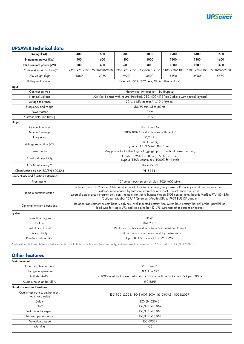

### **UPSAVER technical data**

| <b>Rating (kVA)</b>                                                                                            | 400                                                                                                                                                                                                                                                                                                                                                                                                             | 600           | 800                                                                                                                                                                                                                                                                               | 1000          | 1200          | 1400          | 1600          |
|----------------------------------------------------------------------------------------------------------------|-----------------------------------------------------------------------------------------------------------------------------------------------------------------------------------------------------------------------------------------------------------------------------------------------------------------------------------------------------------------------------------------------------------------|---------------|-----------------------------------------------------------------------------------------------------------------------------------------------------------------------------------------------------------------------------------------------------------------------------------|---------------|---------------|---------------|---------------|
| N nominal power (kW)                                                                                           | 400                                                                                                                                                                                                                                                                                                                                                                                                             | 600           | 800                                                                                                                                                                                                                                                                               | 1000          | 1200          | 1400          | 1600          |
| N+1 nominal power (kW)                                                                                         | 200                                                                                                                                                                                                                                                                                                                                                                                                             | 400           | 600                                                                                                                                                                                                                                                                               | 800           | 1000          | 1200          | 1400          |
| UPS dimensions WxDxH (mm)*                                                                                     | 2350x970x2100                                                                                                                                                                                                                                                                                                                                                                                                   | 2950x970x2100 | 3900x970x2100                                                                                                                                                                                                                                                                     | 4500x970x2100 | 5100x970x2100 | 6800x970x2100 | 7400x970x2100 |
| UPS weight (kg)*                                                                                               | 1660                                                                                                                                                                                                                                                                                                                                                                                                            | 2260          | 2920                                                                                                                                                                                                                                                                              | 3590          | 4190          | 4960          | 5560          |
| Battery configuration                                                                                          | External 360 to 372 cells, VRLA (other options)                                                                                                                                                                                                                                                                                                                                                                 |               |                                                                                                                                                                                                                                                                                   |               |               |               |               |
| Input                                                                                                          |                                                                                                                                                                                                                                                                                                                                                                                                                 |               |                                                                                                                                                                                                                                                                                   |               |               |               |               |
| Connection type                                                                                                | Hardwired 4w (rectifier), 4w (bypass)                                                                                                                                                                                                                                                                                                                                                                           |               |                                                                                                                                                                                                                                                                                   |               |               |               |               |
| Nominal voltage                                                                                                | 400 Vac 3-phase with neutral (rectifier), 380/400/415 Vac 3-phase with neutral (bypass)                                                                                                                                                                                                                                                                                                                         |               |                                                                                                                                                                                                                                                                                   |               |               |               |               |
| Voltage tolerance                                                                                              | $-20\%$ , $+15\%$ (rectifier); $\pm 10\%$ (bypass)                                                                                                                                                                                                                                                                                                                                                              |               |                                                                                                                                                                                                                                                                                   |               |               |               |               |
| Frequency and range                                                                                            | 50/60 Hz, 45 to 65 Hz                                                                                                                                                                                                                                                                                                                                                                                           |               |                                                                                                                                                                                                                                                                                   |               |               |               |               |
| Power factor                                                                                                   | 0.99                                                                                                                                                                                                                                                                                                                                                                                                            |               |                                                                                                                                                                                                                                                                                   |               |               |               |               |
| Current distortion (THDi)                                                                                      | $~13\%$                                                                                                                                                                                                                                                                                                                                                                                                         |               |                                                                                                                                                                                                                                                                                   |               |               |               |               |
| Output                                                                                                         |                                                                                                                                                                                                                                                                                                                                                                                                                 |               |                                                                                                                                                                                                                                                                                   |               |               |               |               |
| Connection type                                                                                                | Hardwired 4w                                                                                                                                                                                                                                                                                                                                                                                                    |               |                                                                                                                                                                                                                                                                                   |               |               |               |               |
| Nominal voltage                                                                                                | 380/400/415 Vac 3-phase with neutral                                                                                                                                                                                                                                                                                                                                                                            |               |                                                                                                                                                                                                                                                                                   |               |               |               |               |
| Frequency                                                                                                      | 50/60 Hz                                                                                                                                                                                                                                                                                                                                                                                                        |               |                                                                                                                                                                                                                                                                                   |               |               |               |               |
| Voltage regulation (VFI)                                                                                       | Static: $\pm 1\%$ ;<br>dynamic: IEC/EN 62040-3 Class 1                                                                                                                                                                                                                                                                                                                                                          |               |                                                                                                                                                                                                                                                                                   |               |               |               |               |
| Power factor                                                                                                   | Any power factor (leading or lagging) up to 1, without power derating                                                                                                                                                                                                                                                                                                                                           |               |                                                                                                                                                                                                                                                                                   |               |               |               |               |
| Overload capability                                                                                            | Inverter: 125% for 10 min, 150% for 1 min;<br>bypass: 150% continuous, 1000% for 1 cycle                                                                                                                                                                                                                                                                                                                        |               |                                                                                                                                                                                                                                                                                   |               |               |               |               |
| AC/AC efficiency**                                                                                             | Up to 99.5%                                                                                                                                                                                                                                                                                                                                                                                                     |               |                                                                                                                                                                                                                                                                                   |               |               |               |               |
| Classification as per IEC/EN 62040-3                                                                           | <b>VFI-SS-111</b>                                                                                                                                                                                                                                                                                                                                                                                               |               |                                                                                                                                                                                                                                                                                   |               |               |               |               |
| Connectivity and function extensions                                                                           |                                                                                                                                                                                                                                                                                                                                                                                                                 |               |                                                                                                                                                                                                                                                                                   |               |               |               |               |
| Front panel                                                                                                    | 10" colour touch screen display, 1024x600 pixels                                                                                                                                                                                                                                                                                                                                                                |               |                                                                                                                                                                                                                                                                                   |               |               |               |               |
| Remote communication                                                                                           | Included: serial RS232 and USB; input terminal block (remote emergency power off, battery circuit breaker aux. cont.,<br>external maintenance bypass circuit breaker aux. cont., diesel mode aux. cont.,<br>external output circuit breaker aux. cont., remote transfer to bypass mode); SPDT contact relay board; ModBus-RTU (RS485);<br>Optional: ModBus-TCP/IP (Ethernet); ModBus-RTU to PROFIBUS DP adapter |               |                                                                                                                                                                                                                                                                                   |               |               |               |               |
| Optional function extensions                                                                                   | Isolation transformer; custom battery cabinets; wall-mounted battery fuse switch box; battery thermal probe; parallel kit;<br>load-sync for single UPS and load-sync box (2 UPS systems); other options on request                                                                                                                                                                                              |               |                                                                                                                                                                                                                                                                                   |               |               |               |               |
| System                                                                                                         |                                                                                                                                                                                                                                                                                                                                                                                                                 |               |                                                                                                                                                                                                                                                                                   |               |               |               |               |
| Protection degree                                                                                              | <b>IP 20</b>                                                                                                                                                                                                                                                                                                                                                                                                    |               |                                                                                                                                                                                                                                                                                   |               |               |               |               |
| Colour                                                                                                         | <b>RAL 9005</b>                                                                                                                                                                                                                                                                                                                                                                                                 |               |                                                                                                                                                                                                                                                                                   |               |               |               |               |
| Installation layout                                                                                            | Wall, back to back and side by side installation allowed                                                                                                                                                                                                                                                                                                                                                        |               |                                                                                                                                                                                                                                                                                   |               |               |               |               |
| Accessibility                                                                                                  | Front and top access, bottom and top cable entry                                                                                                                                                                                                                                                                                                                                                                |               |                                                                                                                                                                                                                                                                                   |               |               |               |               |
| Parallel configuration                                                                                         | Up to 8 UPS, for a total of 12.8 MW                                                                                                                                                                                                                                                                                                                                                                             |               |                                                                                                                                                                                                                                                                                   |               |               |               |               |
| والتجارية والمستورد والماردين ومستحيات المالية ورود وهيمته المتسورات والمستحين والمستحدث المستغلب وسالم ومروات |                                                                                                                                                                                                                                                                                                                                                                                                                 |               | $\star$ , and $\sim$ 100 $\sim$ 100 $\sim$ 100 $\star$ 100 $\star$ $\star$ . The set of $\sim$ 100 $\sim$ 100 $\sim$ 100 $\sim$ 100 $\sim$ 100 $\sim$ 100 $\sim$ 100 $\sim$ 100 $\sim$ 100 $\sim$ 100 $\sim$ 100 $\sim$ 100 $\sim$ 100 $\sim$ 100 $\sim$ 100 $\sim$ 100 $\sim$ 10 |               |               |               |               |

referred to distributed battery, distributed static switch, bottom cable entry. For other configurations contact our sales team \*\* according to IEC/EN 62040-3

### **Other features**

| Environmental                                        |                                                                             |  |  |  |
|------------------------------------------------------|-----------------------------------------------------------------------------|--|--|--|
| Operating temperature                                | $0^{\circ}$ C to +40 $^{\circ}$ C                                           |  |  |  |
| Storage temperature                                  | $-10^{\circ}$ C to $+70^{\circ}$ C                                          |  |  |  |
| Altitude (AMSL)                                      | < 1000 m without power reduction, > 1000 m with reduction of 0.5% per 100 m |  |  |  |
| Audible noise at 1m (dBA)                            | <50 (UHE)                                                                   |  |  |  |
| <b>Standards and certifications</b>                  |                                                                             |  |  |  |
| Quality assurance, environment,<br>health and safety | ISO 9001:2008, ISO 14001:2004, BS OHSAS 18001:2007                          |  |  |  |
| Safety                                               | IEC/EN 62040-1                                                              |  |  |  |
| <b>EMC</b>                                           | IEC/EN 62040-2                                                              |  |  |  |
| Environmental aspects                                | IEC/EN 62040-4                                                              |  |  |  |
| Test and performance                                 | IEC/EN 62040-3                                                              |  |  |  |
| Protection degree                                    | <b>IEC 60529</b>                                                            |  |  |  |
| Marking                                              | <b>CE</b>                                                                   |  |  |  |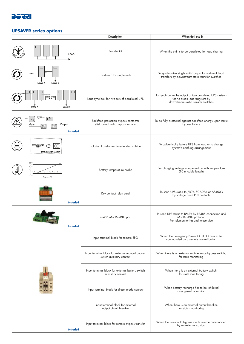

#### **UPSAVER series options**

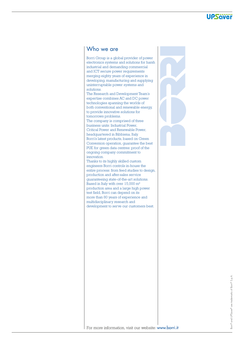

### Who we are

Borri Group is a global provider of power electronics systems and solutions for harsh industrial and demanding commercial and ICT secure power requirements merging eighty years of experience in developing, manufacturing and supplying uninterruptable power systems and solutions.

The Research and Development Team's expertise combines AC and DC power technologies spanning the worlds of both conventional and renewable energy, to provide innovative solutions for tomorrows problems.

The company is comprised of three business units: Industrial Power, Critical Power and Renewable Power, headquartered in Bibbiena, Italy. Borri's latest products, based on Green Conversion operation, guarantee the best PUE for green data centres: proof of the ongoing company commitment to innovation.

Thanks to its highly skilled custom engineers Borri controls in-house the entire process: from feed studies to design, production and after-sales service guaranteeing state-of-the-art solutions. Based in Italy with over 15,000 m² production area and a large high power test field, Borri can depend on its more than 80 years of experience and multidisciplinary research and development to serve our customers best.